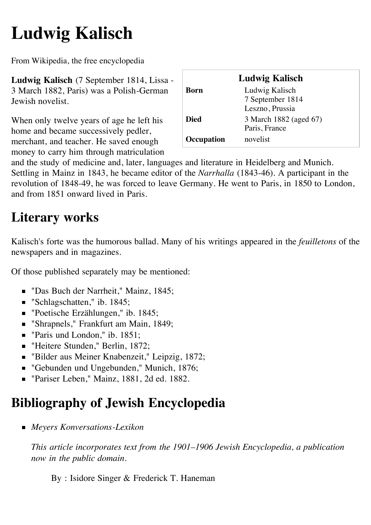## **Ludwig Kalisch**

From Wikipedia, the free encyclopedia

**Ludwig Kalisch** (7 September 1814, [Lissa](http://en.wikipedia.org/wiki/Lissa) - 3 March 1882, [Paris](http://en.wikipedia.org/wiki/Paris)) was a [Polish-](http://en.wikipedia.org/wiki/Poland)[German](http://en.wikipedia.org/wiki/Germany) [Jewish](http://en.wikipedia.org/wiki/Jewish) [novelist.](http://en.wikipedia.org/wiki/Novelist)

When only twelve years of age he left his home and became successively pedler, merchant, and teacher. He saved enough money to carry him through matriculation

| <b>Ludwig Kalisch</b> |                        |
|-----------------------|------------------------|
| Born                  | Ludwig Kalisch         |
|                       | 7 September 1814       |
|                       | Leszno, Prussia        |
| <b>Died</b>           | 3 March 1882 (aged 67) |
|                       | Paris, France          |
| Occupation            | novelist               |

and the study of medicine and, later, languages and literature in [Heidelberg](http://en.wikipedia.org/wiki/Heidelberg) and [Munich](http://en.wikipedia.org/wiki/Munich). Settling in [Mainz](http://en.wikipedia.org/wiki/Mainz) in 1843, he became editor of the *[Narrhalla](http://en.wikipedia.org/w/index.php?title=Narrhalla&action=edit&redlink=1)* (1843-46). A participant in the [revolution of 1848-49](http://en.wikipedia.org/wiki/Revolutions_of_1848_in_the_German_states), he was forced to leave Germany. He went to Paris, in 1850 to [London](http://en.wikipedia.org/wiki/London), and from 1851 onward lived in Paris.

## **Literary works**

Kalisch's forte was the humorous [ballad.](http://en.wikipedia.org/wiki/Ballad) Many of his writings appeared in the *[feuilletons](http://en.wikipedia.org/wiki/Feuilleton)* of the newspapers and in magazines.

Of those published separately may be mentioned:

- "Das Buch der Narrheit," Mainz, 1845;
- "Schlagschatten," ib. 1845;
- "Poetische Erzählungen," ib. 1845;
- "Shrapnels," Frankfurt am Main, 1849;
- "Paris und London," ib. 1851;
- "Heitere Stunden," Berlin, 1872;
- "Bilder aus Meiner Knabenzeit," Leipzig, 1872;
- "Gebunden und Ungebunden," Munich, 1876;
- Pariser Leben," Mainz, 1881, 2d ed. 1882.

## **Bibliography of Jewish Encyclopedia**

*[Meyers Konversations-Lexikon](http://en.wikipedia.org/wiki/Meyers_Konversations-Lexikon)*

*This article incorporates text from the 1901–1906 [Jewish Encyclopedia](http://en.wikipedia.org/wiki/Jewish_Encyclopedia), a publication now in the [public domain.](http://en.wikipedia.org/wiki/Public_domain)*

By : [Isidore Singer](http://en.wikipedia.org/wiki/Isidore_Singer) & [Frederick T. Haneman](http://en.wikipedia.org/wiki/Frederick_T._Haneman)